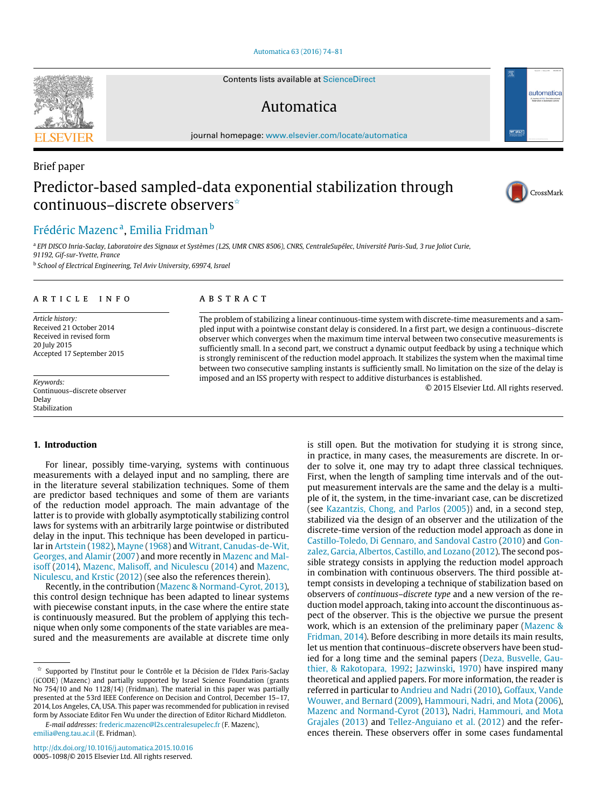### [Automatica 63 \(2016\) 74–81](http://dx.doi.org/10.1016/j.automatica.2015.10.016)

Contents lists available at [ScienceDirect](http://www.elsevier.com/locate/automatica)

# Automatica

journal homepage: [www.elsevier.com/locate/automatica](http://www.elsevier.com/locate/automatica)

# Brief paper Predictor-based sampled-data exponential stabilization through continuous–discrete observers<sup>☆</sup>

# [Frédéric Mazenc](#page-7-0)<sup>[a](#page-0-1)</sup>, [Emilia Fridman](#page-7-1) <sup>[b](#page-0-2)</sup>

<span id="page-0-1"></span><sup>a</sup> EPI DISCO Inria-Saclay, Laboratoire des Signaux et Systèmes (L2S, UMR CNRS 8506), CNRS, CentraleSupélec, Université Paris-Sud, 3 rue Joliot Curie, *91192, Gif-sur-Yvette, France*

<span id="page-0-2"></span>b *School of Electrical Engineering, Tel Aviv University, 69974, Israel*

# a r t i c l e i n f o

*Article history:* Received 21 October 2014 Received in revised form 20 July 2015 Accepted 17 September 2015

*Keywords:* Continuous–discrete observer Delay Stabilization

### **1. Introduction**

For linear, possibly time-varying, systems with continuous measurements with a delayed input and no sampling, there are in the literature several stabilization techniques. Some of them are predictor based techniques and some of them are variants of the reduction model approach. The main advantage of the latter is to provide with globally asymptotically stabilizing control laws for systems with an arbitrarily large pointwise or distributed delay in the input. This technique has been developed in particular in [Artstein](#page-7-2) [\(1982\)](#page-7-2), [Mayne](#page-7-3) [\(1968\)](#page-7-3) and [Witrant,](#page-7-4) [Canudas-de-Wit,](#page-7-4) [Georges,](#page-7-4) [and](#page-7-4) [Alamir](#page-7-4) [\(2007\)](#page-7-4) and more recently in [Mazenc](#page-7-5) [and](#page-7-5) [Mal](#page-7-5)[isoff](#page-7-5) [\(2014\)](#page-7-5), [Mazenc,](#page-7-6) [Malisoff,](#page-7-6) [and](#page-7-6) [Niculescu](#page-7-6) [\(2014\)](#page-7-6) and [Mazenc,](#page-7-7) [Niculescu,](#page-7-7) [and](#page-7-7) [Krstic](#page-7-7) [\(2012\)](#page-7-7) (see also the references therein).

Recently, in the contribution [\(Mazenc](#page-7-8) [&](#page-7-8) [Normand-Cyrot,](#page-7-8) [2013\)](#page-7-8), this control design technique has been adapted to linear systems with piecewise constant inputs, in the case where the entire state is continuously measured. But the problem of applying this technique when only some components of the state variables are measured and the measurements are available at discrete time only

*E-mail addresses:* [frederic.mazenc@l2s.centralesupelec.fr](mailto:frederic.mazenc@l2s.centralesupelec.fr) (F. Mazenc), [emilia@eng.tau.ac.il](mailto:emilia@eng.tau.ac.il) (E. Fridman).

# A B S T R A C T

The problem of stabilizing a linear continuous-time system with discrete-time measurements and a sampled input with a pointwise constant delay is considered. In a first part, we design a continuous–discrete observer which converges when the maximum time interval between two consecutive measurements is sufficiently small. In a second part, we construct a dynamic output feedback by using a technique which is strongly reminiscent of the reduction model approach. It stabilizes the system when the maximal time between two consecutive sampling instants is sufficiently small. No limitation on the size of the delay is imposed and an ISS property with respect to additive disturbances is established.

© 2015 Elsevier Ltd. All rights reserved.

is still open. But the motivation for studying it is strong since, in practice, in many cases, the measurements are discrete. In order to solve it, one may try to adapt three classical techniques. First, when the length of sampling time intervals and of the output measurement intervals are the same and the delay is a multiple of it, the system, in the time-invariant case, can be discretized (see [Kazantzis,](#page-7-9) [Chong,](#page-7-9) [and](#page-7-9) [Parlos](#page-7-9) [\(2005\)](#page-7-9)) and, in a second step, stabilized via the design of an observer and the utilization of the discrete-time version of the reduction model approach as done in [Castillo-Toledo,](#page-7-10) [Di](#page-7-10) [Gennaro,](#page-7-10) [and](#page-7-10) [Sandoval](#page-7-10) [Castro](#page-7-10) [\(2010\)](#page-7-10) and [Gon](#page-7-11)[zalez,](#page-7-11) [Garcia,](#page-7-11) [Albertos,](#page-7-11) [Castillo,](#page-7-11) [and](#page-7-11) [Lozano](#page-7-11) [\(2012\)](#page-7-11). The second possible strategy consists in applying the reduction model approach in combination with continuous observers. The third possible attempt consists in developing a technique of stabilization based on observers of *continuous–discrete type* and a new version of the reduction model approach, taking into account the discontinuous aspect of the observer. This is the objective we pursue the present work, which is an extension of the preliminary paper [\(Mazenc](#page-7-12) [&](#page-7-12) [Fridman,](#page-7-12) [2014\)](#page-7-12). Before describing in more details its main results, let us mention that continuous–discrete observers have been stud[i](#page-7-13)ed for a long time and the seminal papers [\(Deza,](#page-7-13) [Busvelle,](#page-7-13) [Gau](#page-7-13)[thier,](#page-7-13) [&](#page-7-13) [Rakotopara,](#page-7-13) [1992;](#page-7-13) [Jazwinski,](#page-7-14) [1970\)](#page-7-14) have inspired many theoretical and applied papers. For more information, the reader is referred in particular to [Andrieu](#page-7-15) [and](#page-7-15) [Nadri](#page-7-15) [\(2010\)](#page-7-15), [Goffaux,](#page-7-16) [Vande](#page-7-16) [Wouwer,](#page-7-16) [and](#page-7-16) [Bernard](#page-7-16) [\(2009\)](#page-7-16), [Hammouri,](#page-7-17) [Nadri,](#page-7-17) [and](#page-7-17) [Mota](#page-7-17) [\(2006\)](#page-7-17), [Mazenc](#page-7-8) [and](#page-7-8) [Normand-Cyrot](#page-7-8) [\(2013\)](#page-7-8), [Nadri,](#page-7-18) [Hammouri,](#page-7-18) [and](#page-7-18) [Mota](#page-7-18) [Grajales](#page-7-18) [\(2013\)](#page-7-18) and [Tellez-Anguiano](#page-7-19) [et al.](#page-7-19) [\(2012\)](#page-7-19) and the references therein. These observers offer in some cases fundamental







<span id="page-0-0"></span> $\overrightarrow{x}$  Supported by l'Institut pour le Contrôle et la Décision de l'Idex Paris-Saclay (iCODE) (Mazenc) and partially supported by Israel Science Foundation (grants No 754/10 and No 1128/14) (Fridman). The material in this paper was partially presented at the 53rd IEEE Conference on Decision and Control, December 15–17, 2014, Los Angeles, CA, USA. This paper was recommended for publication in revised form by Associate Editor Fen Wu under the direction of Editor Richard Middleton.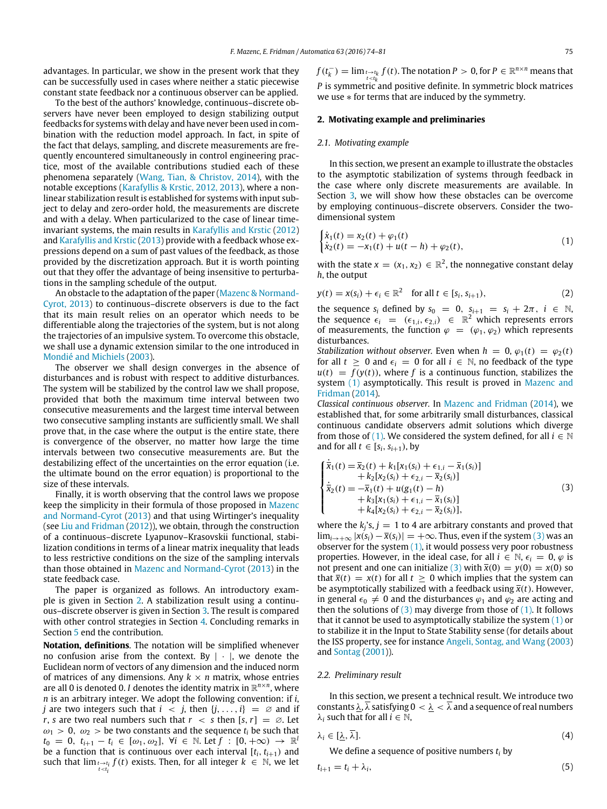advantages. In particular, we show in the present work that they can be successfully used in cases where neither a static piecewise constant state feedback nor a continuous observer can be applied.

To the best of the authors' knowledge, continuous–discrete observers have never been employed to design stabilizing output feedbacks for systems with delay and have never been used in combination with the reduction model approach. In fact, in spite of the fact that delays, sampling, and discrete measurements are frequently encountered simultaneously in control engineering practice, most of the available contributions studied each of these phenomena separately [\(Wang,](#page-7-20) [Tian,](#page-7-20) [&](#page-7-20) [Christov,](#page-7-20) [2014\)](#page-7-20), with the notable exceptions [\(Karafyllis](#page-7-21) [&](#page-7-21) [Krstic,](#page-7-21) [2012,](#page-7-21) [2013\)](#page-7-22), where a nonlinear stabilization result is established for systems with input subject to delay and zero-order hold, the measurements are discrete and with a delay. When particularized to the case of linear timeinvariant systems, the main results in [Karafyllis](#page-7-21) [and](#page-7-21) [Krstic](#page-7-21) [\(2012\)](#page-7-21) and [Karafyllis](#page-7-22) [and](#page-7-22) [Krstic](#page-7-22) [\(2013\)](#page-7-22) provide with a feedback whose expressions depend on a sum of past values of the feedback, as those provided by the discretization approach. But it is worth pointing out that they offer the advantage of being insensitive to perturbations in the sampling schedule of the output.

An obstacle to the adaptation of the paper [\(Mazenc](#page-7-8) [&](#page-7-8) [Normand-](#page-7-8)[Cyrot,](#page-7-8) [2013\)](#page-7-8) to continuous–discrete observers is due to the fact that its main result relies on an operator which needs to be differentiable along the trajectories of the system, but is not along the trajectories of an impulsive system. To overcome this obstacle, we shall use a dynamic extension similar to the one introduced in [Mondié](#page-7-23) [and](#page-7-23) [Michiels](#page-7-23) [\(2003\)](#page-7-23).

The observer we shall design converges in the absence of disturbances and is robust with respect to additive disturbances. The system will be stabilized by the control law we shall propose, provided that both the maximum time interval between two consecutive measurements and the largest time interval between two consecutive sampling instants are sufficiently small. We shall prove that, in the case where the output is the entire state, there is convergence of the observer, no matter how large the time intervals between two consecutive measurements are. But the destabilizing effect of the uncertainties on the error equation (i.e. the ultimate bound on the error equation) is proportional to the size of these intervals.

Finally, it is worth observing that the control laws we propose keep the simplicity in their formula of those proposed in [Mazenc](#page-7-8) [and](#page-7-8) [Normand-Cyrot](#page-7-8) [\(2013\)](#page-7-8) and that using Wirtinger's inequality (see [Liu](#page-7-24) [and](#page-7-24) [Fridman](#page-7-24) [\(2012\)](#page-7-24)), we obtain, through the construction of a continuous–discrete Lyapunov–Krasovskii functional, stabilization conditions in terms of a linear matrix inequality that leads to less restrictive conditions on the size of the sampling intervals than those obtained in [Mazenc](#page-7-8) [and](#page-7-8) [Normand-Cyrot](#page-7-8) [\(2013\)](#page-7-8) in the state feedback case.

The paper is organized as follows. An introductory example is given in Section [2.](#page-1-0) A stabilization result using a continuous–discrete observer is given in Section [3.](#page-2-0) The result is compared with other control strategies in Section [4.](#page-3-0) Concluding remarks in Section [5](#page-4-0) end the contribution.

**Notation, definitions**. The notation will be simplified whenever no confusion arise from the context. By  $|\cdot|$ , we denote the Euclidean norm of vectors of any dimension and the induced norm of matrices of any dimensions. Any  $k \times n$  matrix, whose entries are all 0 is denoted 0. *I* denotes the identity matrix in R *n*×*n* , where *n* is an arbitrary integer. We adopt the following convention: if *i*, *j* are two integers such that  $i < j$ , then  $\{j, \ldots, i\} = \emptyset$  and if *r*, *s* are two real numbers such that  $r < s$  then  $[s, r] = \emptyset$ . Let  $\omega_1 > 0$ ,  $\omega_2 >$  be two constants and the sequence  $t_i$  be such that  $t_0 = 0, t_{i+1} - t_i \in [\omega_1, \omega_2], \forall i \in \mathbb{N}$ . Let  $f : [0, +\infty) \to \mathbb{R}^l$ be a function that is continuous over each interval  $[t_i, t_{i+1})$  and such that  $\lim_{t \to t_i} f(t)$  exists. Then, for all integer  $k \in \mathbb{N}$ , we let

 $f(t_k^-) = \lim_{t \to t_k} f(t)$ . The notation  $P > 0$ , for  $P \in \mathbb{R}^{n \times n}$  means that *P* is symmetric and positive definite. In symmetric block matrices we use ∗ for terms that are induced by the symmetry.

### <span id="page-1-0"></span>**2. Motivating example and preliminaries**

# *2.1. Motivating example*

In this section, we present an example to illustrate the obstacles to the asymptotic stabilization of systems through feedback in the case where only discrete measurements are available. In Section [3,](#page-2-0) we will show how these obstacles can be overcome by employing continuous–discrete observers. Consider the twodimensional system

<span id="page-1-1"></span>
$$
\begin{cases}\n\dot{x}_1(t) = x_2(t) + \varphi_1(t) \\
\dot{x}_2(t) = -x_1(t) + u(t - h) + \varphi_2(t),\n\end{cases}
$$
\n(1)

with the state  $x = (x_1, x_2) \in \mathbb{R}^2$ , the nonnegative constant delay *h*, the output

$$
y(t) = x(s_i) + \epsilon_i \in \mathbb{R}^2 \quad \text{for all } t \in [s_i, s_{i+1}), \tag{2}
$$

the sequence  $s_i$  defined by  $s_0 = 0$ ,  $s_{i+1} = s_i + 2\pi$ ,  $i \in \mathbb{N}$ , the sequence  $\epsilon_i = (\epsilon_{1,i}, \epsilon_{2,i}) \in \mathbb{R}^2$  which represents errors of measurements, the function  $\varphi = (\varphi_1, \varphi_2)$  which represents disturbances.

*Stabilization without observer.* Even when  $h = 0$ ,  $\varphi_1(t) = \varphi_2(t)$ for all  $t \geq 0$  and  $\epsilon_i = 0$  for all  $i \in \mathbb{N}$ , no feedback of the type  $u(t) = f(y(t))$ , where f is a continuous function, stabilizes the system [\(1\)](#page-1-1) asymptotically. This result is proved in [Mazenc](#page-7-12) [and](#page-7-12) [Fridman](#page-7-12) [\(2014\)](#page-7-12).

*Classical continuous observer.* In [Mazenc](#page-7-12) [and](#page-7-12) [Fridman](#page-7-12) [\(2014\)](#page-7-12), we established that, for some arbitrarily small disturbances, classical continuous candidate observers admit solutions which diverge from those of [\(1\).](#page-1-1) We considered the system defined, for all  $i \in \mathbb{N}$ and for all  $t \in [s_i, s_{i+1})$ , by

<span id="page-1-2"></span>
$$
\begin{cases}\n\dot{\overline{x}}_1(t) = \overline{x}_2(t) + k_1[x_1(s_i) + \epsilon_{1,i} - \overline{x}_1(s_i)] \\
+ k_2[x_2(s_i) + \epsilon_{2,i} - \overline{x}_2(s_i)] \\
\dot{\overline{x}}_2(t) = -\overline{x}_1(t) + u(g_1(t) - h) \\
+ k_3[x_1(s_i) + \epsilon_{1,i} - \overline{x}_1(s_i)] \\
+ k_4[x_2(s_i) + \epsilon_{2,i} - \overline{x}_2(s_i)],\n\end{cases}
$$
\n(3)

where the  $k_j$ 's,  $j = 1$  to 4 are arbitrary constants and proved that  $\lim_{i\to +\infty}$  | $x(s_i) - \bar{x}(s_i)$ | = +∞. Thus, even if the system [\(3\)](#page-1-2) was an observer for the system  $(1)$ , it would possess very poor robustness properties. However, in the ideal case, for all  $i \in \mathbb{N}$ ,  $\epsilon_i = 0$ ,  $\varphi$  is not present and one can initialize [\(3\)](#page-1-2) with  $\bar{x}(0) = y(0) = x(0)$  so that  $\bar{x}(t) = x(t)$  for all  $t \ge 0$  which implies that the system can be asymptotically stabilized with a feedback using  $\bar{x}(t)$ . However, in general  $\epsilon_0 \neq 0$  and the disturbances  $\varphi_1$  and  $\varphi_2$  are acting and then the solutions of  $(3)$  may diverge from those of  $(1)$ . It follows that it cannot be used to asymptotically stabilize the system  $(1)$  or to stabilize it in the Input to State Stability sense (for details about the ISS property, see for instance [Angeli,](#page-7-25) [Sontag,](#page-7-25) [and](#page-7-25) [Wang](#page-7-25) [\(2003\)](#page-7-25) and [Sontag](#page-7-26) [\(2001\)](#page-7-26)).

### *2.2. Preliminary result*

In this section, we present a technical result. We introduce two constants  $\lambda$ ,  $\overline{\lambda}$  satisfying  $0 < \lambda < \overline{\lambda}$  and a sequence of real numbers  $\lambda_i$  such that for all  $i \in \mathbb{N}$ ,

$$
\lambda_i \in [\underline{\lambda}, \overline{\lambda}]. \tag{4}
$$

<span id="page-1-3"></span>We define a sequence of positive numbers *t<sup>i</sup>* by

$$
t_{i+1} = t_i + \lambda_i,\tag{5}
$$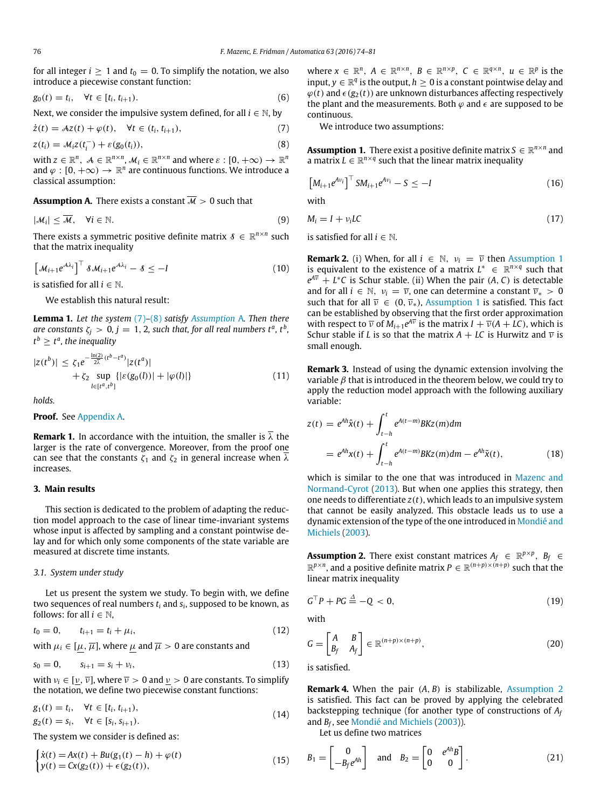for all integer  $i \ge 1$  and  $t_0 = 0$ . To simplify the notation, we also introduce a piecewise constant function:

$$
g_0(t) = t_i, \quad \forall t \in [t_i, t_{i+1}).
$$
\n(6)

Next, we consider the impulsive system defined, for all  $i \in \mathbb{N}$ , by

$$
\dot{z}(t) = Az(t) + \varphi(t), \quad \forall t \in (t_i, t_{i+1}),
$$
\n
$$
z(t_i) = \mathcal{M}_i z(t_i^-) + \varepsilon(g_0(t_i)),
$$
\n(8)

with  $z \in \mathbb{R}^n$ ,  $\mathcal{A} \in \mathbb{R}^{n \times n}$ ,  $\mathcal{M}_i \in \mathbb{R}^{n \times n}$  and where  $\varepsilon : [0, +\infty) \to \mathbb{R}^n$ and  $\varphi : [0, +\infty) \to \mathbb{R}^n$  are continuous functions. We introduce a classical assumption:

<span id="page-2-3"></span>**Assumption A.** There exists a constant  $\overline{\mathcal{M}} > 0$  such that

$$
|\mathcal{M}_i| \leq \overline{\mathcal{M}}, \quad \forall i \in \mathbb{N}.\tag{9}
$$

There exists a symmetric positive definite matrix  $\mathcal{S} \in \mathbb{R}^{n \times n}$  such that the matrix inequality

$$
\left[\mathcal{M}_{i+1}e^{\mathcal{A}\lambda_i}\right]^{\top} \delta \mathcal{M}_{i+1}e^{\mathcal{A}\lambda_i} - \delta \leq -I \tag{10}
$$

is satisfied for all  $i \in \mathbb{N}$ .

<span id="page-2-7"></span>We establish this natural result:

**Lemma 1.** *Let the system* [\(7\)](#page-2-1)*–*[\(8\)](#page-2-2) *satisfy [Assumption](#page-2-3)* A*. Then there*  $\alpha$  are constants  $\zeta_j > 0, j = 1, 2$ , such that, for all real numbers t<sup>a</sup>, t<sup>b</sup>,  $t^{\,b} \geq t^{\,a}$  , the inequality

$$
|z(t^{b})| \leq \zeta_1 e^{-\frac{\ln(2)}{2\lambda}(t^{b}-t^{a})} |z(t^{a})|
$$
  
+  $\zeta_2 \sup_{l \in [t^{a},t^{b}]} \{|\varepsilon(g_0(l))| + |\varphi(l)|\}$  (11)

*holds.*

**Proof.** See [Appendix A.](#page-4-1)

<span id="page-2-8"></span>**Remark 1.** In accordance with the intuition, the smaller is  $\overline{\lambda}$  the larger is the rate of convergence. Moreover, from the proof one can see that the constants  $\zeta_1$  and  $\zeta_2$  in general increase when  $\overline{\lambda}$ increases.

# <span id="page-2-0"></span>**3. Main results**

This section is dedicated to the problem of adapting the reduction model approach to the case of linear time-invariant systems whose input is affected by sampling and a constant pointwise delay and for which only some components of the state variable are measured at discrete time instants.

# <span id="page-2-9"></span>*3.1. System under study*

Let us present the system we study. To begin with, we define two sequences of real numbers *t<sup>i</sup>* and *s<sup>i</sup>* , supposed to be known, as follows: for all  $i \in \mathbb{N}$ ,

$$
t_0 = 0, \qquad t_{i+1} = t_i + \mu_i,\tag{12}
$$

with  $\mu_i \in [\mu, \overline{\mu}]$ , where  $\mu$  and  $\overline{\mu} > 0$  are constants and

$$
s_0 = 0, \qquad s_{i+1} = s_i + \nu_i,\tag{13}
$$

with  $v_i \in [v, \overline{v}]$ , where  $\overline{v} > 0$  and  $v > 0$  are constants. To simplify the notation, we define two piecewise constant functions:

$$
g_1(t) = t_i, \quad \forall t \in [t_i, t_{i+1}),
$$
  
\n $g_2(t) = s_i, \quad \forall t \in [s_i, s_{i+1}).$ \n(14)

The system we consider is defined as:

$$
\begin{cases}\n\dot{x}(t) = Ax(t) + Bu(g_1(t) - h) + \varphi(t) \\
y(t) = Cx(g_2(t)) + \epsilon(g_2(t)),\n\end{cases}
$$
\n(15)

where  $x \in \mathbb{R}^n$ ,  $A \in \mathbb{R}^{n \times n}$ ,  $B \in \mathbb{R}^{n \times p}$ ,  $C \in \mathbb{R}^{q \times n}$ ,  $u \in \mathbb{R}^p$  is the input,  $y \in \mathbb{R}^q$  is the output,  $h \geq 0$  is a constant pointwise delay and  $\varphi(t)$  and  $\epsilon(g_2(t))$  are unknown disturbances affecting respectively the plant and the measurements. Both  $\varphi$  and  $\epsilon$  are supposed to be continuous.

<span id="page-2-4"></span>We introduce two assumptions:

<span id="page-2-2"></span><span id="page-2-1"></span>**Assumption 1.** There exist a positive definite matrix  $S \in \mathbb{R}^{n \times n}$  and a matrix  $L \in \mathbb{R}^{n \times q}$  such that the linear matrix inequality

$$
\left[M_{i+1}e^{Av_i}\right]^{\top}SM_{i+1}e^{Av_i}-S\leq -I\tag{16}
$$

with

<span id="page-2-12"></span>
$$
M_i = I + \nu_i LC \tag{17}
$$

is satisfied for all  $i \in \mathbb{N}$ .

<span id="page-2-11"></span>**Remark 2.** (i) When, for all  $i \in \mathbb{N}$ ,  $v_i = \overline{v}$  then [Assumption 1](#page-2-4) is equivalent to the existence of a matrix  $L^* \in \mathbb{R}^{n \times q}$  such that  $e^{A\overline{\nu}} + L^*C$  is Schur stable. (ii) When the pair  $(A, C)$  is detectable and for all  $i \in \mathbb{N}$ ,  $v_i = \overline{v}$ , one can determine a constant  $\overline{v}_* > 0$ such that for all  $\overline{v} \in (0, \overline{v}_*)$ , [Assumption 1](#page-2-4) is satisfied. This fact can be established by observing that the first order approximation with respect to  $\overline{\nu}$  of  $M_{i+1}e^{A\overline{\nu}}$  is the matrix  $I + \overline{\nu}(A + LC)$ , which is Schur stable if *L* is so that the matrix  $A + LC$  is Hurwitz and  $\overline{v}$  is small enough.

<span id="page-2-13"></span>**Remark 3.** Instead of using the dynamic extension involving the variable  $\beta$  that is introduced in the theorem below, we could try to apply the reduction model approach with the following auxiliary variable:

$$
z(t) = e^{Ah}\hat{x}(t) + \int_{t-h}^{t} e^{A(t-m)} B K z(m) dm
$$
  
=  $e^{Ah}x(t) + \int_{t-h}^{t} e^{A(t-m)} B K z(m) dm - e^{Ah}\tilde{x}(t),$  (18)

which is similar to the one that was introduced in [Mazenc](#page-7-8) [and](#page-7-8) [Normand-Cyrot](#page-7-8) [\(2013\)](#page-7-8). But when one applies this strategy, then one needs to differentiate *z*(*t*), which leads to an impulsive system that cannot be easily analyzed. This obstacle leads us to use a dynamic extension of the type of the one introduced in [Mondié](#page-7-23) [and](#page-7-23) [Michiels](#page-7-23) [\(2003\)](#page-7-23).

<span id="page-2-5"></span>**Assumption 2.** There exist constant matrices  $A_f \in \mathbb{R}^{p \times p}$ ,  $B_f \in$  $\mathbb{R}^{p \times n}$ , and a positive definite matrix  $P \in \mathbb{R}^{(n+p) \times (n+p)}$  such that the linear matrix inequality

$$
G^{\top}P + PG \stackrel{\Delta}{=} -Q < 0,\tag{19}
$$

with

$$
G = \begin{bmatrix} A & B \\ B_f & A_f \end{bmatrix} \in \mathbb{R}^{(n+p)\times(n+p)},\tag{20}
$$

is satisfied.

**Remark 4.** When the pair (*A*, *B*) is stabilizable, [Assumption 2](#page-2-5) is satisfied. This fact can be proved by applying the celebrated backstepping technique (for another type of constructions of *A<sup>f</sup>* and *B<sup>f</sup>* , see [Mondié](#page-7-23) [and](#page-7-23) [Michiels](#page-7-23) [\(2003\)](#page-7-23)).

<span id="page-2-10"></span>Let us define two matrices

<span id="page-2-6"></span>
$$
B_1 = \begin{bmatrix} 0 \\ -B_f e^{Ah} \end{bmatrix} \text{ and } B_2 = \begin{bmatrix} 0 & e^{Ah} B \\ 0 & 0 \end{bmatrix}.
$$
 (21)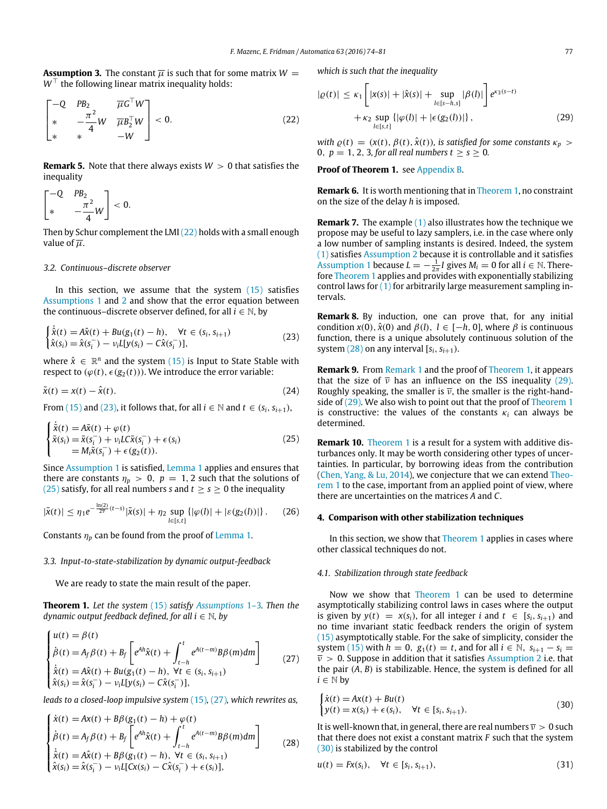<span id="page-3-11"></span>**Assumption 3.** The constant  $\overline{\mu}$  is such that for some matrix  $W =$ *W*<sup>⊥</sup> the following linear matrix inequality holds:

$$
\begin{bmatrix} -Q & PB_2 & \overline{\mu}G^{\top}W \\ * & -\frac{\pi^2}{4}W & \overline{\mu}B_2^{\top}W \\ * & * & -W \end{bmatrix} < 0.
$$
 (22)

**Remark 5.** Note that there always exists  $W > 0$  that satisfies the inequality

$$
\begin{bmatrix} -Q & PB_2 \* & -\frac{\pi^2}{4}W \end{bmatrix} < 0.
$$

 $\lambda$ 

 $\sim$ 

Then by Schur complement the LMI [\(22\)](#page-3-1) holds with a small enough value of  $\overline{u}$ .

# <span id="page-3-9"></span>*3.2. Continuous–discrete observer*

In this section, we assume that the system  $(15)$  satisfies [Assumptions 1](#page-2-4) and [2](#page-2-5) and show that the error equation between the continuous–discrete observer defined, for all  $i \in \mathbb{N}$ , by

$$
\begin{cases} \dot{\hat{x}}(t) = A\hat{x}(t) + Bu(g_1(t) - h), & \forall t \in (s_i, s_{i+1})\\ \hat{x}(s_i) = \hat{x}(s_i^-) - v_i L[y(s_i) - C\hat{x}(s_i^-)], \end{cases}
$$
(23)

where  $\hat{x} \in \mathbb{R}^n$  and the system [\(15\)](#page-2-6) is Input to State Stable with respect to  $(\varphi(t), \epsilon(g_2(t)))$ . We introduce the error variable:

$$
\tilde{\mathbf{x}}(t) = \mathbf{x}(t) - \hat{\mathbf{x}}(t). \tag{24}
$$

From [\(15\)](#page-2-6) and [\(23\),](#page-3-2) it follows that, for all  $i \in \mathbb{N}$  and  $t \in (s_i, s_{i+1})$ ,

$$
\begin{cases}\n\dot{\tilde{x}}(t) = A\tilde{x}(t) + \varphi(t) \\
\tilde{x}(s_i) = \tilde{x}(s_i^-) + \nu_i L \tilde{x}(s_i^-) + \epsilon(s_i) \\
= M_i \tilde{x}(s_i^-) + \epsilon(g_2(t)).\n\end{cases}
$$
\n(25)

Since [Assumption 1](#page-2-4) is satisfied, [Lemma 1](#page-2-7) applies and ensures that there are constants  $\eta_p > 0$ ,  $p = 1, 2$  such that the solutions of [\(25\)](#page-3-3) satisfy, for all real numbers *s* and  $t \geq s \geq 0$  the inequality

$$
|\tilde{\mathbf{x}}(t)| \leq \eta_1 e^{-\frac{\ln(2)}{2\bar{\mathbf{v}}}(t-s)} |\tilde{\mathbf{x}}(s)| + \eta_2 \sup_{l \in [s,t]} \{ |\varphi(l)| + |\varepsilon(g_2(l))| \}.
$$
 (26)

Constants  $\eta_p$  can be found from the proof of [Lemma 1.](#page-2-7)

# *3.3. Input-to-state-stabilization by dynamic output-feedback*

<span id="page-3-5"></span>We are ready to state the main result of the paper.

**Theorem 1.** *Let the system* [\(15\)](#page-2-6) *satisfy [Assumptions](#page-2-4)* 1–3*. Then the dynamic output feedback defined, for all i* ∈ N*, by*

$$
\begin{cases}\nu(t) = \beta(t) \\
\dot{\beta}(t) = A_f \beta(t) + B_f \left[ e^{Ah} \hat{\chi}(t) + \int_{t-h}^t e^{A(t-m)} B\beta(m) dm \right] \\
\dot{\hat{\chi}}(t) = A\hat{\chi}(t) + Bu(g_1(t) - h), \ \forall t \in (s_i, s_{i+1}) \\
\hat{\chi}(s_i) = \hat{\chi}(s_i^-) - v_i L[y(s_i) - C\hat{\chi}(s_i^-)],\n\end{cases}
$$
\n(27)

*leads to a closed-loop impulsive system* [\(15\)](#page-2-6)*,* [\(27\)](#page-3-4)*, which rewrites as,*

$$
\begin{cases}\n\dot{x}(t) = Ax(t) + B\beta(g_1(t) - h) + \varphi(t) \\
\dot{\beta}(t) = A_f \beta(t) + B_f \left[ e^{Ah}\hat{x}(t) + \int_{t-h}^t e^{A(t-m)} B\beta(m) dm \right] \\
\dot{\hat{x}}(t) = A\hat{x}(t) + B\beta(g_1(t) - h), \forall t \in (s_i, s_{i+1}) \\
\hat{x}(s_i) = \hat{x}(s_i^-) - v_i L[X(s_i) - C\hat{x}(s_i^-) + \epsilon(s_i)],\n\end{cases}
$$
\n(28)

*which is such that the inequality*

<span id="page-3-1"></span>
$$
|\varrho(t)| \le \kappa_1 \left[ |x(s)| + |\hat{x}(s)| + \sup_{l \in [s-h,s]} |\beta(l)| \right] e^{\kappa_3(s-t)} + \kappa_2 \sup_{l \in [s,t]} \{ |\varphi(l)| + |\epsilon(g_2(l))| \},
$$
\n(29)

<span id="page-3-7"></span>*with*  $\varrho(t) = (x(t), \beta(t), \hat{x}(t))$ , *is satisfied for some constants*  $\kappa_p >$ 0,  $p = 1, 2, 3$ , for all real numbers  $t \ge s \ge 0$ .

#### **Proof of Theorem 1.** see [Appendix B.](#page-5-0)

**Remark 6.** It is worth mentioning that in [Theorem 1,](#page-3-5) no constraint on the size of the delay *h* is imposed.

**Remark 7.** The example [\(1\)](#page-1-1) also illustrates how the technique we propose may be useful to lazy samplers, i.e. in the case where only a low number of sampling instants is desired. Indeed, the system [\(1\)](#page-1-1) satisfies [Assumption 2](#page-2-5) because it is controllable and it satisfies [Assumption 1](#page-2-4) because  $L = -\frac{1}{2\pi}I$  gives  $M_i = 0$  for all  $i \in \mathbb{N}$ . There-fore [Theorem 1](#page-3-5) applies and provides with exponentially stabilizing control laws for  $(1)$  for arbitrarily large measurement sampling intervals.

<span id="page-3-2"></span>**Remark 8.** By induction, one can prove that, for any initial condition  $x(0)$ ,  $\hat{x}(0)$  and  $\beta(l)$ ,  $l \in [-h, 0]$ , where  $\beta$  is continuous function, there is a unique absolutely continuous solution of the system  $(28)$  on any interval  $[s_i, s_{i+1})$ .

**Remark 9.** From [Remark 1](#page-2-8) and the proof of [Theorem 1,](#page-3-5) it appears that the size of  $\overline{v}$  has an influence on the ISS inequality [\(29\).](#page-3-7) Roughly speaking, the smaller is  $\overline{v}$ , the smaller is the right-handside of [\(29\).](#page-3-7) We also wish to point out that the proof of [Theorem 1](#page-3-5) is constructive: the values of the constants  $\kappa_i$  can always be determined.

<span id="page-3-3"></span>**Remark 10.** [Theorem 1](#page-3-5) is a result for a system with additive disturbances only. It may be worth considering other types of uncertainties. In particular, by borrowing ideas from the contribution [\(Chen,](#page-7-27) [Yang,](#page-7-27) [&](#page-7-27) [Lu,](#page-7-27) [2014\)](#page-7-27), we conjecture that we can extend [Theo](#page-3-5)[rem 1](#page-3-5) to the case, important from an applied point of view, where there are uncertainties on the matrices *A* and *C*.

## <span id="page-3-10"></span><span id="page-3-0"></span>**4. Comparison with other stabilization techniques**

In this section, we show that [Theorem 1](#page-3-5) applies in cases where other classical techniques do not.

#### *4.1. Stabilization through state feedback*

<span id="page-3-4"></span>Now we show that [Theorem 1](#page-3-5) can be used to determine asymptotically stabilizing control laws in cases where the output is given by  $y(t) = x(s_i)$ , for all integer *i* and  $t \in [s_i, s_{i+1})$  and no time invariant static feedback renders the origin of system [\(15\)](#page-2-6) asymptotically stable. For the sake of simplicity, consider the system [\(15\)](#page-2-6) with  $h = 0$ ,  $g_1(t) = t$ , and for all  $i \in \mathbb{N}$ ,  $s_{i+1} - s_i =$  $\overline{v} > 0$ . Suppose in addition that it satisfies [Assumption 2](#page-2-5) i.e. that the pair (*A*, *B*) is stabilizable. Hence, the system is defined for all  $i \in \mathbb{N}$  by

<span id="page-3-8"></span>
$$
\begin{cases}\n\dot{x}(t) = Ax(t) + Bu(t) \\
y(t) = x(s_i) + \epsilon(s_i), \quad \forall t \in [s_i, s_{i+1}).\n\end{cases}
$$
\n(30)

<span id="page-3-6"></span>It is well-known that, in general, there are real numbers  $\overline{v} > 0$  such that there does not exist a constant matrix *F* such that the system [\(30\)](#page-3-8) is stabilized by the control

$$
u(t) = Fx(s_i), \quad \forall t \in [s_i, s_{i+1}), \tag{31}
$$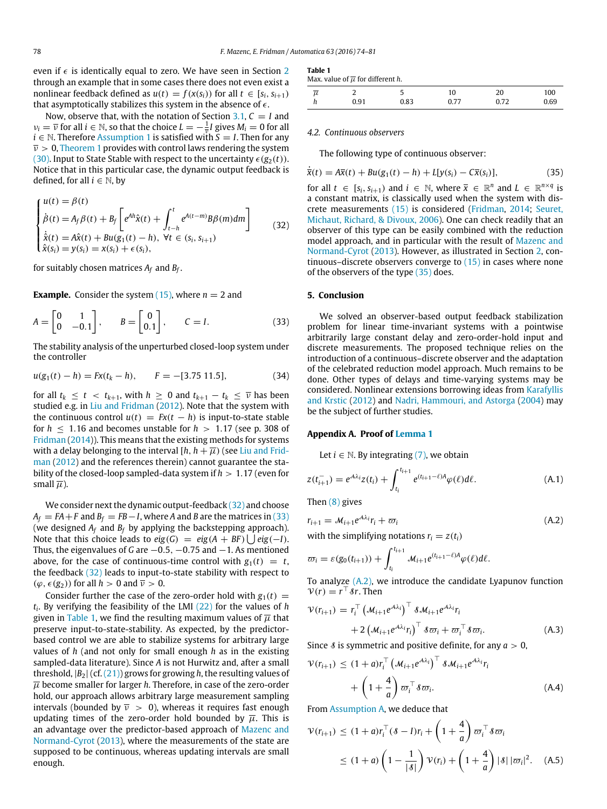even if  $\epsilon$  is identically equal to zero. We have seen in Section [2](#page-1-0) through an example that in some cases there does not even exist a nonlinear feedback defined as  $u(t) = f(x(s_i))$  for all  $t \in [s_i, s_{i+1})$ that asymptotically stabilizes this system in the absence of  $\epsilon$ .

Now, observe that, with the notation of Section [3.1,](#page-2-9)  $C = I$  and  $\nu_i = \overline{\nu}$  for all  $i \in \mathbb{N}$ , so that the choice  $L = -\frac{1}{\overline{\nu}}I$  gives  $M_i = 0$  for all  $i \in \mathbb{N}$ . Therefore [Assumption 1](#page-2-4) is satisfied with  $S = I$ . Then for any  $\overline{v} > 0$ , [Theorem 1](#page-3-5) provides with control laws rendering the system [\(30\).](#page-3-8) Input to State Stable with respect to the uncertainty  $\epsilon(g_2(t))$ . Notice that in this particular case, the dynamic output feedback is defined, for all  $i \in \mathbb{N}$ , by

$$
\begin{cases}\nu(t) = \beta(t) \\
\dot{\beta}(t) = A_f \beta(t) + B_f \left[ e^{Ah} \hat{x}(t) + \int_{t-h}^t e^{A(t-m)} B\beta(m) dm \right] \\
\dot{\hat{x}}(t) = A\hat{x}(t) + Bu(g_1(t) - h), \ \forall t \in (s_i, s_{i+1}) \\
\hat{x}(s_i) = y(s_i) = x(s_i) + \epsilon(s_i),\n\end{cases}
$$
\n(32)

for suitably chosen matrices *A<sup>f</sup>* and *B<sup>f</sup>* .

**Example.** Consider the system  $(15)$ , where  $n = 2$  and

$$
A = \begin{bmatrix} 0 & 1 \\ 0 & -0.1 \end{bmatrix}, \qquad B = \begin{bmatrix} 0 \\ 0.1 \end{bmatrix}, \qquad C = I.
$$
 (33)

The stability analysis of the unperturbed closed-loop system under the controller

$$
u(g_1(t) - h) = Fx(t_k - h), \qquad F = -[3.75 \, 11.5], \tag{34}
$$

for all  $t_k \leq t \leq t_{k+1}$ , with  $h \geq 0$  and  $t_{k+1} - t_k \leq \overline{\nu}$  has been studied e.g. in [Liu](#page-7-24) [and](#page-7-24) [Fridman](#page-7-24) [\(2012\)](#page-7-24). Note that the system with the continuous control  $u(t) = Fx(t - h)$  is input-to-state stable for  $h \leq 1.16$  and becomes unstable for  $h > 1.17$  (see p. 308 of [Fridman](#page-7-28) [\(2014\)](#page-7-28)). This means that the existing methods for systems [w](#page-7-24)ith a delay belonging to the interval  $[h, h + \overline{\mu})$  (see [Liu](#page-7-24) [and](#page-7-24) [Frid](#page-7-24)[man](#page-7-24) [\(2012\)](#page-7-24) and the references therein) cannot guarantee the stability of the closed-loop sampled-data system if *h* > 1.17 (even for small  $\overline{\mu}$ ).

We consider next the dynamic output-feedback [\(32\)](#page-4-2) and choose  $A_f = FA + F$  and  $B_f = FB - I$ , where *A* and *B* are the matrices in [\(33\)](#page-4-3) (we designed  $A_f$  and  $B_f$  by applying the backstepping approach). Note that this choice leads to  $eig(G) = eig(A + BF) \bigcup eig(-I)$ . Thus, the eigenvalues of *G* are −0.5, −0.75 and −1. As mentioned above, for the case of continuous-time control with  $g_1(t) = t$ , the feedback [\(32\)](#page-4-2) leads to input-to-state stability with respect to  $(\varphi, \epsilon(g_2))$  for all  $h > 0$  and  $\overline{v} > 0$ .

Consider further the case of the zero-order hold with  $g_1(t)$  = *ti* . By verifying the feasibility of the LMI [\(22\)](#page-3-1) for the values of *h* given in [Table 1,](#page-4-4) we find the resulting maximum values of  $\overline{\mu}$  that preserve input-to-state-stability. As expected, by the predictorbased control we are able to stabilize systems for arbitrary large values of *h* (and not only for small enough *h* as in the existing sampled-data literature). Since *A* is not Hurwitz and, after a small threshold,  $|B_2|$  (cf. [\(21\)\)](#page-2-10) grows for growing *h*, the resulting values of  $\overline{\mu}$  become smaller for larger *h*. Therefore, in case of the zero-order hold, our approach allows arbitrary large measurement sampling intervals (bounded by  $\overline{v} > 0$ ), whereas it requires fast enough updating times of the zero-order hold bounded by  $\overline{\mu}$ . This is an advantage over the predictor-based approach of [Mazenc](#page-7-8) [and](#page-7-8) [Normand-Cyrot](#page-7-8) [\(2013\)](#page-7-8), where the measurements of the state are supposed to be continuous, whereas updating intervals are small enough.

<span id="page-4-4"></span>**Table 1**

|  | Max. value of $\overline{\mu}$ for different h. |
|--|-------------------------------------------------|
|--|-------------------------------------------------|

| $^{\prime}$<br>u |                                         |         |  | $^{(1)}$<br>___ |
|------------------|-----------------------------------------|---------|--|-----------------|
|                  | Q <sub>1</sub><br>$\tilde{\phantom{a}}$ | $\circ$ |  |                 |

#### *4.2. Continuous observers*

<span id="page-4-5"></span>The following type of continuous observer:

$$
\dot{\overline{x}}(t) = A\overline{x}(t) + Bu(g_1(t) - h) + L[y(s_i) - C\overline{x}(s_i)],
$$
\n(35)

<span id="page-4-2"></span>for all  $t \in [s_i, s_{i+1})$  and  $i \in \mathbb{N}$ , where  $\overline{x} \in \mathbb{R}^n$  and  $L \in \mathbb{R}^{n \times q}$  is a constant matrix, is classically used when the system with discrete measurements [\(15\)](#page-2-6) is considered [\(Fridman,](#page-7-28) [2014;](#page-7-28) [Seuret,](#page-7-29) [Michaut,](#page-7-29) [Richard,](#page-7-29) [&](#page-7-29) [Divoux,](#page-7-29) [2006\)](#page-7-29). One can check readily that an observer of this type can be easily combined with the reduction model approach, and in particular with the result of [Mazenc](#page-7-8) [and](#page-7-8) [Normand-Cyrot](#page-7-8) [\(2013\)](#page-7-8). However, as illustrated in Section [2,](#page-1-0) continuous–discrete observers converge to  $(15)$  in cases where none of the observers of the type [\(35\)](#page-4-5) does.

#### <span id="page-4-0"></span>**5. Conclusion**

<span id="page-4-3"></span>We solved an observer-based output feedback stabilization problem for linear time-invariant systems with a pointwise arbitrarily large constant delay and zero-order-hold input and discrete measurements. The proposed technique relies on the introduction of a continuous–discrete observer and the adaptation of the celebrated reduction model approach. Much remains to be done. Other types of delays and time-varying systems may be considered. Nonlinear extensions borrowing ideas from [Karafyllis](#page-7-21) [and](#page-7-21) [Krstic](#page-7-21) [\(2012\)](#page-7-21) and [Nadri,](#page-7-30) [Hammouri,](#page-7-30) [and](#page-7-30) [Astorga](#page-7-30) [\(2004\)](#page-7-30) may be the subject of further studies.

#### **Appendix A. Proof of [Lemma 1](#page-2-7)**

<span id="page-4-6"></span><span id="page-4-1"></span>Let  $i \in \mathbb{N}$ . By integrating [\(7\),](#page-2-1) we obtain

$$
z(t_{i+1}^-) = e^{A\lambda_i} z(t_i) + \int_{t_i}^{t_{i+1}} e^{(t_{i+1}-\ell)A} \varphi(\ell) d\ell.
$$
 (A.1)

Then [\(8\)](#page-2-2) gives

$$
r_{i+1} = \mathcal{M}_{i+1} e^{\mathcal{A}\lambda_i} r_i + \varpi_i
$$
\n(A.2)

with the simplifying notations  $r_i = z(t_i)$ 

$$
\varpi_i = \varepsilon(g_0(t_{i+1})) + \int_{t_i}^{t_{i+1}} \mathcal{M}_{i+1} e^{(t_{i+1}-\ell)A} \varphi(\ell) d\ell.
$$

To analyze  $(A,2)$ , we introduce the candidate Lyapunov function  $V(r) = r^{\top}$ *sr*. Then

$$
\mathcal{V}(r_{i+1}) = r_i^{\top} \left( \mathcal{M}_{i+1} e^{\mathcal{A} \lambda_i} \right)^{\top} \mathcal{S} \mathcal{M}_{i+1} e^{\mathcal{A} \lambda_i} r_i
$$

$$
+ 2 \left( \mathcal{M}_{i+1} e^{\mathcal{A} \lambda_i} r_i \right)^{\top} \mathcal{S} \varpi_i + \varpi_i^{\top} \mathcal{S} \varpi_i.
$$
(A.3)

Since  $\delta$  is symmetric and positive definite, for any  $a > 0$ ,

$$
\mathcal{V}(r_{i+1}) \le (1+a)r_i^{\top} \left(\mathcal{M}_{i+1}e^{\mathcal{A}\lambda_i}\right)^{\top} \mathcal{S}\mathcal{M}_{i+1}e^{\mathcal{A}\lambda_i}r_i
$$

$$
+ \left(1+\frac{4}{a}\right)\varpi_i^{\top} \mathcal{S}\varpi_i.
$$
(A.4)

From [Assumption A,](#page-2-3) we deduce that

$$
\mathcal{V}(r_{i+1}) \le (1+a)r_i^{\top}(\mathcal{S}-I)r_i + \left(1+\frac{4}{a}\right)\varpi_i^{\top}\mathcal{S}\varpi_i
$$
\n
$$
\le (1+a)\left(1-\frac{1}{|\mathcal{S}|}\right)\mathcal{V}(r_i) + \left(1+\frac{4}{a}\right)|\mathcal{S}||\varpi_i|^2. \quad \text{(A.5)}
$$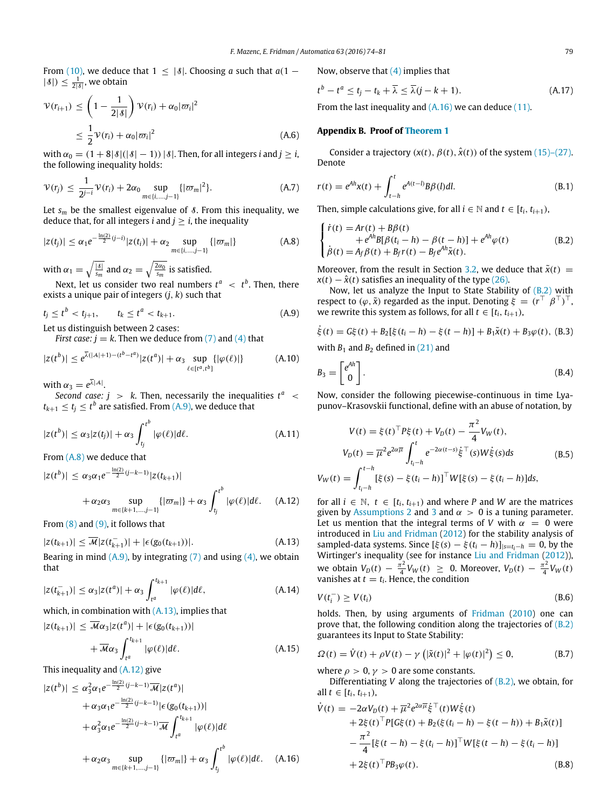From [\(10\),](#page-2-11) we deduce that  $1 \leq |\delta|$ . Choosing *a* such that  $a(1 - \frac{1}{\epsilon})$  $|\delta|$ )  $\leq \frac{1}{2|\delta|}$ , we obtain

$$
\mathcal{V}(r_{i+1}) \le \left(1 - \frac{1}{2|\mathcal{S}|}\right) \mathcal{V}(r_i) + \alpha_0 |\varpi_i|^2
$$
  

$$
\le \frac{1}{2} \mathcal{V}(r_i) + \alpha_0 |\varpi_i|^2
$$
 (A.6)

with  $\alpha_0 = (1 + 8|\mathcal{S}|(|\mathcal{S}|-1))|\mathcal{S}|$ . Then, for all integers *i* and  $j \geq i$ , the following inequality holds:

$$
\mathcal{V}(r_j) \le \frac{1}{2^{j-i}} \mathcal{V}(r_i) + 2\alpha_0 \sup_{m \in \{i, \dots, j-1\}} \{ |\varpi_m|^2 \}.
$$
 (A.7)

Let  $s_m$  be the smallest eigenvalue of  $\delta$ . From this inequality, we deduce that, for all integers *i* and  $j > i$ , the inequality

$$
|z(t_j)| \leq \alpha_1 e^{-\frac{\ln(2)}{2}(j-i)} |z(t_i)| + \alpha_2 \sup_{m \in \{i, \dots, j-1\}} \{|\varpi_m|\}
$$
 (A.8)

with  $\alpha_1 = \sqrt{\frac{|\delta|}{s_m}}$  $\frac{\overline{|s|}}{s_m}$  and  $\alpha_2 = \sqrt{\frac{2\alpha_0}{s_m}}$  is satisfied.

Next, let us consider two real numbers  $t^a \ < \ t^b$ . Then, there exists a unique pair of integers (*j*, *k*) such that

$$
t_j \le t^b < t_{j+1}, \qquad t_k \le t^a < t_{k+1}.\tag{A.9}
$$

Let us distinguish between 2 cases:

*First case:*  $j = k$ . Then we deduce from [\(7\)](#page-2-1) and [\(4\)](#page-1-3) that

$$
|z(t^{b})| \leq e^{\overline{\lambda}(|A|+1) - (t^{b}-t^{a})} |z(t^{a})| + \alpha_3 \sup_{\ell \in [t^{a},t^{b}]} \{|\varphi(\ell)|\}
$$
 (A.10)

with  $\alpha_3 = e^{\overline{\lambda}|\mathcal{A}|}.$ 

*Second case:*  $j > k$ . Then, necessarily the inequalities  $t^a$  <  $t_{k+1} \leq t_j \leq t^b$  are satisfied. From [\(A.9\),](#page-5-1) we deduce that

$$
|z(t^b)| \leq \alpha_3 |z(t_j)| + \alpha_3 \int_{t_j}^{t^b} |\varphi(\ell)| d\ell. \tag{A.11}
$$

From [\(A.8\)](#page-5-2) we deduce that

$$
|z(t^{b})| \leq \alpha_3 \alpha_1 e^{-\frac{\ln(2)}{2}(j-k-1)} |z(t_{k+1})|
$$
  
+  $\alpha_2 \alpha_3 \sup_{m \in \{k+1,\dots,j-1\}} \{|\varpi_m|\} + \alpha_3 \int_{t_j}^{t^b} |\varphi(\ell)| d\ell.$  (A.12)

From  $(8)$  and  $(9)$ , it follows that

$$
|z(t_{k+1})| \le \overline{\mathcal{M}} |z(t_{k+1}^{-})| + |\epsilon(g_0(t_{k+1}))|.
$$
 (A.13)

Bearing in mind  $(A.9)$ , by integrating  $(7)$  and using  $(4)$ , we obtain that

$$
|z(t_{k+1}^{-})| \leq \alpha_3 |z(t^a)| + \alpha_3 \int_{t^a}^{t_{k+1}} |\varphi(\ell)| d\ell, \qquad (A.14)
$$

which, in combination with  $(A.13)$ , implies that

*t a*

$$
|z(t_{k+1})| \leq \overline{\mathcal{M}}\alpha_3|z(t^a)| + |\epsilon(g_0(t_{k+1}))|
$$
  
+ 
$$
\overline{\mathcal{M}}\alpha_3 \int_{t^{k+1}}^{t_{k+1}} |\varphi(\ell)| d\ell.
$$
 (A.15)

This inequality and [\(A.12\)](#page-5-4) give

$$
|z(t^{b})| \leq \alpha_{3}^{2} \alpha_{1} e^{-\frac{\ln(2)}{2} (j-k-1)} \overline{\mathcal{M}} |z(t^{a})|
$$
  
+  $\alpha_{3} \alpha_{1} e^{-\frac{\ln(2)}{2} (j-k-1)} |\epsilon(g_{0}(t_{k+1}))|$   
+  $\alpha_{3}^{2} \alpha_{1} e^{-\frac{\ln(2)}{2} (j-k-1)} \overline{\mathcal{M}} \int_{t^{a}}^{t_{k+1}} |\varphi(\ell)| d\ell$   
+  $\alpha_{2} \alpha_{3} \sup_{m \in \{k+1, \dots, j-1\}} \{|\varpi_{m}|\} + \alpha_{3} \int_{t_{j}}^{t^{b}} |\varphi(\ell)| d\ell.$  (A.16)

Now, observe that [\(4\)](#page-1-3) implies that

$$
t^{b} - t^{a} \le t_{j} - t_{k} + \overline{\lambda} \le \overline{\lambda}(j - k + 1). \tag{A.17}
$$

From the last inequality and  $(A.16)$  we can deduce  $(11)$ .

# <span id="page-5-0"></span>**Appendix B. Proof of [Theorem 1](#page-3-5)**

Consider a trajectory  $(x(t), \beta(t), \hat{x}(t))$  of the system [\(15\)–\(27\).](#page-2-6) Denote

$$
r(t) = e^{Ah}x(t) + \int_{t-h}^{t} e^{A(t-l)}B\beta(l)dl.
$$
 (B.1)

Then, simple calculations give, for all  $i \in \mathbb{N}$  and  $t \in [t_i, t_{i+1})$ ,

<span id="page-5-6"></span><span id="page-5-2"></span>
$$
\begin{cases}\n\dot{r}(t) = Ar(t) + B\beta(t) \\
\dot{r}(t) = e^{Ah}B[\beta(t_i - h) - \beta(t - h)] + e^{Ah}\varphi(t) \\
\dot{\beta}(t) = A_f\beta(t) + B_f r(t) - B_f e^{Ah}\tilde{\chi}(t).\n\end{cases}
$$
\n(B.2)

Moreover, from the result in Section [3.2,](#page-3-9) we deduce that  $\tilde{x}(t)$  =  $x(t) - \hat{x}(t)$  satisfies an inequality of the type [\(26\).](#page-3-10)

<span id="page-5-1"></span>Now, let us analyze the Input to State Stability of  $(B.2)$  with respect to  $(\varphi, \tilde{x})$  regarded as the input. Denoting  $\xi = (r^\top \beta^\top)^\top$ , we rewrite this system as follows, for all  $t \in [t_i, t_{i+1})$ ,

$$
\dot{\xi}(t) = G\xi(t) + B_2[\xi(t_i - h) - \xi(t - h)] + B_1\tilde{x}(t) + B_3\varphi(t),
$$
 (B.3)  
with  $B_1$  and  $B_2$  defined in (21) and

$$
B_3 = \begin{bmatrix} e^{Ah} \\ 0 \end{bmatrix}.
$$
 (B.4)

Now, consider the following piecewise-continuous in time Lyapunov–Krasovskii functional, define with an abuse of notation, by

$$
V(t) = \xi(t)^{\top} P \xi(t) + V_D(t) - \frac{\pi^2}{4} V_W(t),
$$
  
\n
$$
V_D(t) = \overline{\mu}^2 e^{2\alpha \overline{\mu}} \int_{t_i - h}^t e^{-2\alpha(t - s)} \dot{\xi}^{\top}(s) W \dot{\xi}(s) ds
$$
(B.5)  
\n
$$
V_W(t) = \int_{t_i - h}^{t - h} [\xi(s) - \xi(t_i - h)]^{\top} W[\xi(s) - \xi(t_i - h)] ds,
$$

<span id="page-5-4"></span><span id="page-5-3"></span>for all *i* ∈  $\mathbb{N}$ , *t* ∈  $[t_i, t_{i+1})$  and where *P* and *W* are the matrices given by [Assumptions 2](#page-2-5) and [3](#page-3-11) and  $\alpha > 0$  is a tuning parameter. Let us mention that the integral terms of *V* with  $\alpha = 0$  were introduced in [Liu](#page-7-24) [and](#page-7-24) [Fridman](#page-7-24) [\(2012\)](#page-7-24) for the stability analysis of sampled-data systems. Since  $[\xi(s) - \xi(t_i - h)]_{|s=t_i-h} = 0$ , by the Wirtinger's inequality (see for instance [Liu](#page-7-24) [and](#page-7-24) [Fridman](#page-7-24) [\(2012\)](#page-7-24)), we obtain  $V_D(t) - \frac{\pi^2}{4}$  $\frac{\pi^2}{4}V_W(t) \geq 0$ . Moreover,  $V_D(t) - \frac{\pi^2}{4}$  $\frac{7}{4}V_W(t)$ vanishes at  $t = t_i$ . Hence, the condition

$$
V(t_i^-) \ge V(t_i) \tag{B.6}
$$

holds. Then, by using arguments of [Fridman](#page-7-31) [\(2010\)](#page-7-31) one can prove that, the following condition along the trajectories of  $(B.2)$ guarantees its Input to State Stability:

$$
\Omega(t) = \dot{V}(t) + \rho V(t) - \gamma \left( |\tilde{x}(t)|^2 + |\varphi(t)|^2 \right) \le 0,
$$
 (B.7)

where  $\rho > 0$ ,  $\gamma > 0$  are some constants.

Differentiating *V* along the trajectories of [\(B.2\),](#page-5-6) we obtain, for all *t* ∈  $[t_i, t_{i+1})$ ,

<span id="page-5-5"></span>
$$
\dot{V}(t) = -2\alpha V_D(t) + \overline{\mu}^2 e^{2\alpha \overline{\mu}} \dot{\xi}^\top(t) W \dot{\xi}(t) \n+ 2\xi(t)^\top P[G\xi(t) + B_2(\xi(t_i - h) - \xi(t - h)) + B_1 \tilde{x}(t)] \n- \frac{\pi^2}{4} [\xi(t - h) - \xi(t_i - h)]^\top W[\xi(t - h) - \xi(t_i - h)] \n+ 2\xi(t)^\top P B_3 \varphi(t).
$$
\n(B.8)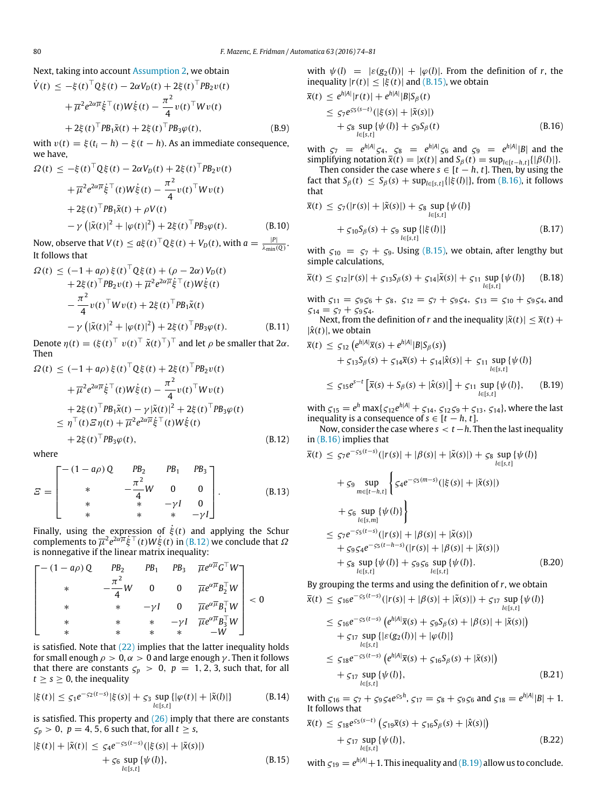Next, taking into account [Assumption 2,](#page-2-5) we obtain

$$
\dot{V}(t) \le -\xi(t)^{\top} Q \xi(t) - 2\alpha V_D(t) + 2\xi(t)^{\top} P B_2 v(t) \n+ \overline{\mu}^2 e^{2\alpha \overline{\mu}} \dot{\xi}^{\top}(t) W \dot{\xi}(t) - \frac{\pi^2}{4} v(t)^{\top} W v(t) \n+ 2\xi(t)^{\top} P B_1 \tilde{x}(t) + 2\xi(t)^{\top} P B_3 \varphi(t),
$$
\n(B.9)

with  $v(t) = \xi(t_i - h) - \xi(t - h)$ . As an immediate consequence, we have,

$$
\Omega(t) \leq -\xi(t)^{\top} Q \xi(t) - 2\alpha V_D(t) + 2\xi(t)^{\top} P B_2 v(t) \n+ \overline{\mu}^2 e^{2\alpha \overline{\mu}} \xi^{\top}(t) W \dot{\xi}(t) - \frac{\pi^2}{4} v(t)^{\top} W v(t) \n+ 2\xi(t)^{\top} P B_1 \tilde{x}(t) + \rho V(t) \n- \gamma (|\tilde{x}(t)|^2 + |\varphi(t)|^2) + 2\xi(t)^{\top} P B_3 \varphi(t).
$$
\n(B.10)

Now, observe that  $V(t) \leq a\xi(t)^{\top} Q \xi(t) + V_D(t)$ , with  $a = \frac{|P|}{\lambda_{min}}$  $\frac{|F|}{\lambda_{\min}(Q)}$ . It follows that

$$
\Omega(t) \leq (-1 + a\rho) \xi(t)^{\top} Q \xi(t) + (\rho - 2\alpha) V_D(t) \n+ 2\xi(t)^{\top} PB_2 v(t) + \overline{\mu}^2 e^{2\alpha \overline{\mu}} \xi^{\top}(t) W \dot{\xi}(t) \n- \frac{\pi^2}{4} v(t)^{\top} W v(t) + 2\xi(t)^{\top} PB_1 \tilde{\chi}(t) \n- \gamma (|\tilde{\chi}(t)|^2 + |\varphi(t)|^2) + 2\xi(t)^{\top} PB_3 \varphi(t).
$$
\n(B.11)

Denote  $\eta(t) = (\xi(t)^{\top} v(t)^{\top} \tilde{x}(t)^{\top})^{\top}$  and let  $\rho$  be smaller that 2 $\alpha$ . Then

$$
\Omega(t) \leq (-1 + a\rho) \xi(t)^{\top} Q\xi(t) + 2\xi(t)^{\top} PB_2 v(t)
$$
  
+  $\overline{\mu}^2 e^{2\alpha \overline{\mu}} \dot{\xi}^{\top}(t) W \dot{\xi}(t) - \frac{\pi^2}{4} v(t)^{\top} W v(t)$   
+  $2\xi(t)^{\top} PB_1 \tilde{x}(t) - \gamma |\tilde{x}(t)|^2 + 2\xi(t)^{\top} PB_3 \varphi(t)$   
 $\leq \eta^{\top}(t) \Xi \eta(t) + \overline{\mu}^2 e^{2\alpha \overline{\mu}} \dot{\xi}^{\top}(t) W \dot{\xi}(t)$   
+  $2\xi(t)^{\top} PB_3 \varphi(t)$ , (B.12)

where

$$
E = \begin{bmatrix} -(1 - a\rho) Q & PB_2 & PB_1 & PB_3 \\ * & -\frac{\pi^2}{4}W & 0 & 0 \\ * & * & -\gamma I & 0 \\ * & * & * & -\gamma I \end{bmatrix}.
$$
 (B.13)

Finally, using the expression of  $\dot{\xi}(t)$  and applying the Schur complements to  $\overline{\mu}^2 e^{2\alpha \overline{\mu}} \dot{\xi}^\top(t) W \dot{\xi}(t)$  in [\(B.12\)](#page-6-0) we conclude that  $\Omega$ is nonnegative if the linear matrix inequality:

$$
\begin{bmatrix}\n-(1-a\rho)Q & PB_2 & PB_1 & PB_3 & \overline{\mu}e^{\alpha\overline{\mu}}G^{\top}W \\
* & -\frac{\pi^2}{4}W & 0 & 0 & \overline{\mu}e^{\alpha\overline{\mu}}B_2^{\top}W \\
* & * & -\gamma I & 0 & \overline{\mu}e^{\alpha\overline{\mu}}B_1^{\top}W \\
* & * & * & -\gamma I & \overline{\mu}e^{\alpha\overline{\mu}}B_3^{\top}W \\
* & * & * & -\gamma I & \overline{\mu}e^{\alpha\overline{\mu}}B_3^{\top}W \\
* & * & * & * & -W\n\end{bmatrix} < 0
$$

is satisfied. Note that  $(22)$  implies that the latter inequality holds for small enough  $\rho > 0$ ,  $\alpha > 0$  and large enough  $\gamma$ . Then it follows that there are constants  $\zeta_p > 0$ ,  $p = 1, 2, 3$ , such that, for all  $t \geq s \geq 0$ , the inequality

$$
|\xi(t)| \le \zeta_1 e^{-\zeta_2(t-s)} |\xi(s)| + \zeta_3 \sup_{l \in [s,t]} \{ |\varphi(t)| + |\tilde{\mathbf{x}}(l)| \}
$$
 (B.14)

is satisfied. This property and  $(26)$  imply that there are constants  $\zeta_p > 0$ ,  $p = 4, 5, 6$  such that, for all  $t \geq s$ ,

$$
|\xi(t)| + |\tilde{\mathbf{x}}(t)| \leq \zeta_4 e^{-\zeta_5(t-s)} (|\xi(s)| + |\tilde{\mathbf{x}}(s)|) + \zeta_6 \sup_{l \in [s,t]} {\psi(l)}, \tag{B.15}
$$

with  $\psi(l) = |\varepsilon(g_2(l))| + |\varphi(l)|$ . From the definition of *r*, the inequality  $|r(t)| \leq |\xi(t)|$  and [\(B.15\),](#page-6-1) we obtain

$$
\bar{x}(t) \le e^{h|A|} |r(t)| + e^{h|A|} |B| S_{\beta}(t)
$$
\n
$$
\le \zeta_7 e^{c_5(s-t)} (|\xi(s)| + |\tilde{x}(s)|)
$$
\n
$$
+ \zeta_8 \sup_{l \in [s,t]} {\psi(l)} + \zeta_9 S_{\beta}(t)
$$
\n(B.16)

<span id="page-6-2"></span>with  $\zeta_7 = e^{h|A|} \zeta_4$ ,  $\zeta_8 = e^{h|A|} \zeta_6$  and  $\zeta_9 = e^{h|A|} |B|$  and the simplifying notation  $\bar{x}(t) = |x(t)|$  and  $S_\beta(t) = \sup_{l \in [t-h,t]} \{|\beta(l)|\}.$ 

Then consider the case where  $s \in [t - h, t]$ . Then, by using the *fact that S*<sub>β</sub>(*t*) ≤ *S*<sub>β</sub>(*s*) + *sup*<sub>*l*∈[*s*,*t*]</sub>{| $ξ$ (*l*)|}, from [\(B.16\),](#page-6-2) it follows that

$$
\overline{x}(t) \leq \zeta_7(|r(s)| + |\tilde{x}(s)|) + \zeta_8 \sup_{l \in [s,t]} \{\psi(l)\}\n+ \zeta_{10} S_{\beta}(s) + \zeta_9 \sup_{l \in [s,t]} \{|\xi(l)|\}\n\tag{B.17}
$$

with  $\zeta_{10} = \zeta_7 + \zeta_9$ . Using [\(B.15\),](#page-6-1) we obtain, after lengthy but simple calculations,

$$
\bar{x}(t) \leq \varsigma_{12}|r(s)| + \varsigma_{13}S_{\beta}(s) + \varsigma_{14}|\tilde{x}(s)| + \varsigma_{11}\sup_{l\in[s,t]} \{\psi(l)\} \qquad (B.18)
$$

with  $\zeta_{11} = \zeta_9 \zeta_6 + \zeta_8$ ,  $\zeta_{12} = \zeta_7 + \zeta_9 \zeta_4$ ,  $\zeta_{13} = \zeta_{10} + \zeta_9 \zeta_4$ , and  $\zeta_{14} = \zeta_7 + \zeta_9 \zeta_4.$ 

Next, from the definition of *r* and the inequality  $|\tilde{x}(t)| \leq \overline{x}(t) +$  $|\hat{x}(t)|$ , we obtain

<span id="page-6-3"></span>
$$
\overline{x}(t) \leq \zeta_{12} \left( e^{h|A|} \overline{x}(s) + e^{h|A|} |B| S_{\beta}(s) \right) \n+ \zeta_{13} S_{\beta}(s) + \zeta_{14} \overline{x}(s) + \zeta_{14} |\hat{x}(s)| + \zeta_{11} \sup_{l \in [s,t]} \{ \psi(l) \} \n\leq \zeta_{15} e^{s-t} \left[ \overline{x}(s) + S_{\beta}(s) + |\hat{x}(s)| \right] + \zeta_{11} \sup_{l \in [s,t]} \{ \psi(l) \}, \quad (B.19)
$$

with  $\zeta_{15} = e^h \max\{\zeta_{12}e^{h|A|} + \zeta_{14}, \zeta_{12}\zeta_9 + \zeta_{13}, \zeta_{14}\}\)$ , where the last inequality is a consequence of  $s \in [t-h, t]$ .

<span id="page-6-0"></span>Now, consider the case where *s* < *t*−*h*. Then the last inequality in [\(B.16\)](#page-6-2) implies that

$$
\bar{x}(t) \leq \zeta_7 e^{-\zeta_5(t-s)}(|r(s)| + |\beta(s)| + |\tilde{x}(s)|) + \zeta_8 \sup_{l \in [s,t]} \{\psi(l)\}\n+ \zeta_9 \sup_{m \in [t-h,t]} \left\{ \zeta_4 e^{-\zeta_5(m-s)}(|\xi(s)| + |\tilde{x}(s)|) + \zeta_6 \sup_{l \in [s,m]} \{\psi(l)\} \right\}\n\leq \zeta_7 e^{-\zeta_5(t-s)}(|r(s)| + |\beta(s)| + |\tilde{x}(s)|)\n+ \zeta_9 \zeta_4 e^{-\zeta_5(t-h-s)}(|r(s)| + |\beta(s)| + |\tilde{x}(s)|)\n+ \zeta_8 \sup_{l \in [s,t]} \{\psi(l)\} + \zeta_9 \zeta_6 \sup_{l \in [s,t]} \{\psi(l)\}.
$$
\n(B.20)

By grouping the terms and using the definition of *r*, we obtain

$$
\bar{x}(t) \leq \zeta_{16}e^{-\zeta_{5}(t-s)}(|r(s)| + |\beta(s)| + |\tilde{x}(s)|) + \zeta_{17} \sup_{l \in [s,t]} {\psi(l)}
$$
\n
$$
\leq \zeta_{16}e^{-\zeta_{5}(t-s)} (e^{h|A|}\bar{x}(s) + \zeta_{9}\zeta_{\beta}(s) + |\beta(s)| + |\tilde{x}(s)|)
$$
\n
$$
+ \zeta_{17} \sup_{l \in [s,t]} {\{\varepsilon(g_{2}(l))\} + \varphi(l)\}}
$$
\n
$$
\leq \zeta_{18}e^{-\zeta_{5}(t-s)} (e^{h|A|}\bar{x}(s) + \zeta_{16}\zeta_{\beta}(s) + |\tilde{x}(s)|)
$$
\n
$$
+ \zeta_{17} \sup_{l \in [s,t]} {\psi(l)}, \qquad (B.21)
$$

with  $\zeta_{16} = \zeta_7 + \zeta_9 \zeta_4 e^{\zeta_5 h}$ ,  $\zeta_{17} = \zeta_8 + \zeta_9 \zeta_6$  and  $\zeta_{18} = e^{h|A|} |B| + 1$ . It follows that

$$
\overline{x}(t) \leq \zeta_{18} e^{\zeta_5(s-t)} \left( \zeta_{19} \overline{x}(s) + \zeta_{16} S_{\beta}(s) + |\hat{x}(s)| \right) \n+ \zeta_{17} \sup_{l \in [s,t]} \{ \psi(l) \},
$$
\n(B.22)

<span id="page-6-1"></span>with  $\zeta_{19} = e^{h|A|} + 1$ . This inequality and [\(B.19\)](#page-6-3) allow us to conclude.